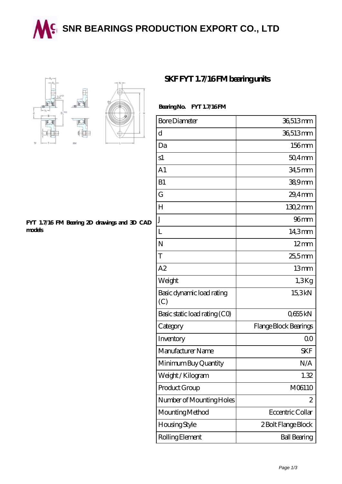## **M.** [SNR BEARINGS PRODUCTION EXPORT CO., LTD](https://wqgit.com)





## **[FYT 1.7/16 FM Bearing 2D drawings and 3D CAD](https://wqgit.com/pic-145244.html) [models](https://wqgit.com/pic-145244.html)**

## **SKF FYT 1.7/16FM beating units**

## Bearing No. FYT 1.7/16 FM

| <b>Bore Diameter</b>             | 36,513mm              |
|----------------------------------|-----------------------|
| d                                | 36,513mm              |
| Da                               | 156mm                 |
| s1                               | $504$ mm              |
| A <sub>1</sub>                   | 34,5mm                |
| B1                               | 389mm                 |
| G                                | $29.4$ mm             |
| H                                | $1302$ mm             |
| J                                | 96 <sub>mm</sub>      |
| L                                | 14,3mm                |
| N                                | $12 \text{mm}$        |
| T                                | 25,5mm                |
| A2                               | 13mm                  |
| Weight                           | 1,3Kg                 |
| Basic dynamic load rating<br>(C) | 15,3kN                |
| Basic static load rating (CO)    | Q655kN                |
| Category                         | Flange Block Bearings |
| Inventory                        | 0 <sup>0</sup>        |
| Manufacturer Name                | <b>SKF</b>            |
| Minimum Buy Quantity             | N/A                   |
| Weight/Kilogram                  | 1.32                  |
| Product Group                    | M06110                |
| Number of Mounting Holes         | 2                     |
| Mounting Method                  | Eccentric Collar      |
| Housing Style                    | 2 Bolt Flange Block   |
| Rolling Element                  | <b>Ball Bearing</b>   |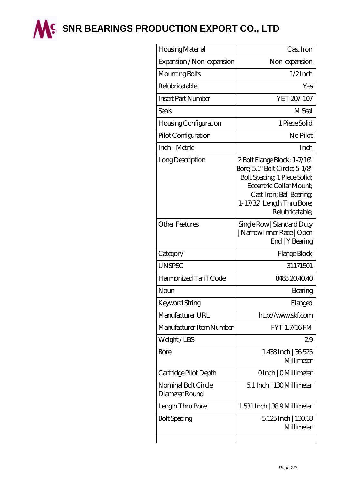

**M<sup>C</sup> [SNR BEARINGS PRODUCTION EXPORT CO., LTD](https://wqgit.com)** 

| Housing Material                      | Cast Iron                                                                                                                                                                                              |
|---------------------------------------|--------------------------------------------------------------------------------------------------------------------------------------------------------------------------------------------------------|
| Expansion / Non-expansion             | Non-expansion                                                                                                                                                                                          |
| Mounting Bolts                        | $1/2$ Inch                                                                                                                                                                                             |
| Relubricatable                        | Yes                                                                                                                                                                                                    |
| <b>Insert Part Number</b>             | YET 207-107                                                                                                                                                                                            |
| Seals                                 | M Seal                                                                                                                                                                                                 |
| Housing Configuration                 | 1 Piece Solid                                                                                                                                                                                          |
| Pilot Configuration                   | No Pilot                                                                                                                                                                                               |
| Inch - Metric                         | Inch                                                                                                                                                                                                   |
| Long Description                      | 2 Bolt Flange Block; 1-7/16"<br>Bore; 5.1" Bolt Circle; 5-1/8"<br>Bolt Spacing, 1 Piece Solid;<br>Eccentric Collar Mount:<br>Cast Iron; Ball Bearing;<br>1-17/32" Length Thru Bore;<br>Relubricatable; |
| <b>Other Features</b>                 | Single Row   Standard Duty<br>  Narrow Inner Race   Open<br>End   Y Bearing                                                                                                                            |
| Category                              | Flange Block                                                                                                                                                                                           |
| <b>UNSPSC</b>                         | 31171501                                                                                                                                                                                               |
| Harmonized Tariff Code                | 8483204040                                                                                                                                                                                             |
| Noun                                  | Bearing                                                                                                                                                                                                |
| Keyword String                        | Flanged                                                                                                                                                                                                |
| Manufacturer URL                      | http://www.skf.com                                                                                                                                                                                     |
| Manufacturer Item Number              | <b>FYT 1.7/16FM</b>                                                                                                                                                                                    |
| Weight/LBS                            | 29                                                                                                                                                                                                     |
| Bore                                  | 1.438Inch   36.525<br>Millimeter                                                                                                                                                                       |
| Cartridge Pilot Depth                 | OInch   OMillimeter                                                                                                                                                                                    |
| Nominal Bolt Circle<br>Diameter Round | 5.1 Inch   130 Millimeter                                                                                                                                                                              |
| Length Thru Bore                      | 1.531 Inch   389 Millimeter                                                                                                                                                                            |
| <b>Bolt Spacing</b>                   | 5125Inch   130.18<br>Millimeter                                                                                                                                                                        |